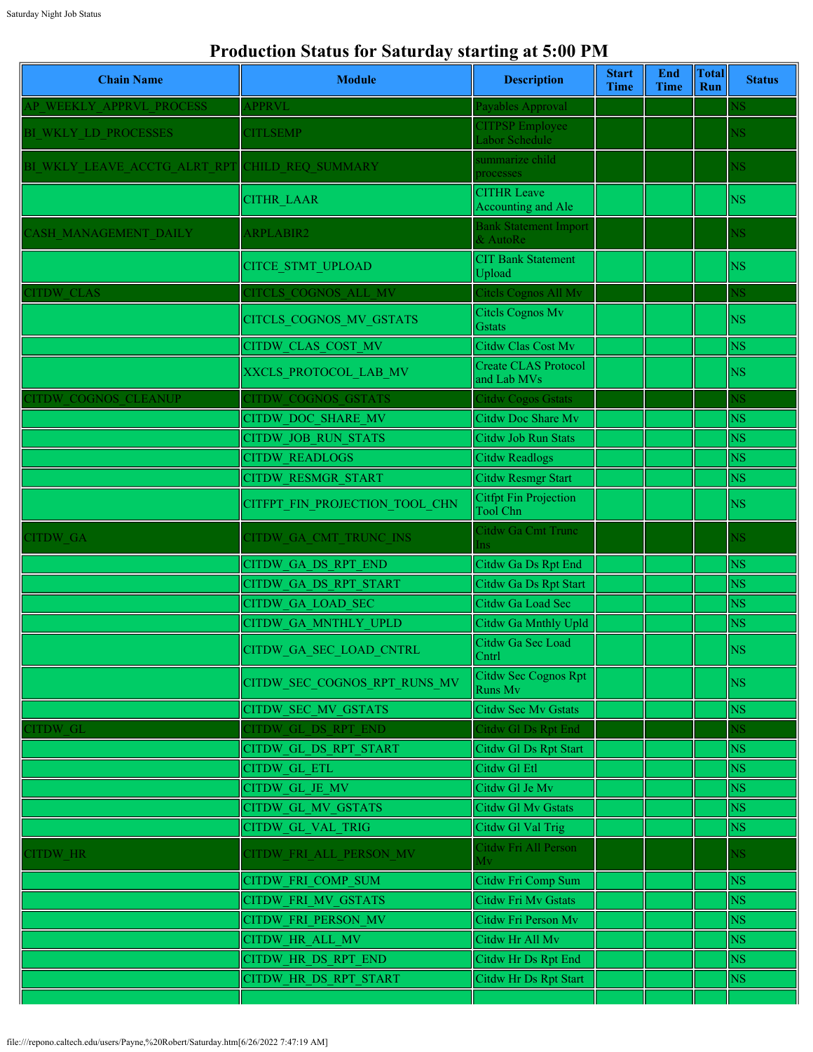## **Production Status for Saturday starting at 5:00 PM**

| <b>Chain Name</b>            | <b>Module</b>                  | <b>Description</b>                              | <b>Start</b><br><b>Time</b> | End<br><b>Time</b> | <b>Total</b><br>Run | <b>Status</b>          |
|------------------------------|--------------------------------|-------------------------------------------------|-----------------------------|--------------------|---------------------|------------------------|
| AP WEEKLY APPRVL PROCESS     | <b>APPRVL</b>                  | Payables Approval                               |                             |                    |                     | ٧S                     |
| BI WKLY LD PROCESSES         | <b>CITLSEMP</b>                | <b>CITPSP Employee</b><br>Labor Schedule        |                             |                    |                     | NS.                    |
| BI WKLY LEAVE ACCTG ALRT RPT | <b>CHILD REQ SUMMARY</b>       | summarize child<br>processes                    |                             |                    |                     | NS.                    |
|                              | <b>CITHR LAAR</b>              | <b>CITHR Leave</b><br>Accounting and Ale        |                             |                    |                     | <b>NS</b>              |
| CASH MANAGEMENT DAILY        | ARPLABIR2                      | <b>Bank Statement Import</b><br>& AutoRe        |                             |                    |                     | NS.                    |
|                              | CITCE_STMT_UPLOAD              | <b>CIT Bank Statement</b><br>Upload             |                             |                    |                     | N <sub>S</sub>         |
| <b>ITDW CLAS</b>             | CITCLS COGNOS ALL MV           | Citels Cognos All Mv                            |                             |                    |                     | NS.                    |
|                              | CITCLS_COGNOS_MV_GSTATS        | Citels Cognos Mv<br><b>G</b> stats              |                             |                    |                     | <b>NS</b>              |
|                              | <b>CITDW CLAS COST MV</b>      | <b>Citdw Clas Cost Mv</b>                       |                             |                    |                     | <b>NS</b>              |
|                              | XXCLS PROTOCOL LAB MV          | <b>Create CLAS Protocol</b><br>and Lab MVs      |                             |                    |                     | <b>NS</b>              |
| <b>CITDW COGNOS CLEANUP</b>  | <b>CITDW COGNOS GSTATS</b>     | Citdw Cogos Gstats                              |                             |                    |                     | <b>NS</b>              |
|                              | CITDW DOC SHARE MV             | Citdw Doc Share Mv                              |                             |                    |                     | <b>NS</b>              |
|                              | <b>CITDW JOB RUN STATS</b>     | Citdw Job Run Stats                             |                             |                    |                     | <b>NS</b>              |
|                              | <b>CITDW READLOGS</b>          | <b>Citdw Readlogs</b>                           |                             |                    |                     | $\overline{\text{NS}}$ |
|                              | <b>CITDW RESMGR START</b>      | <b>Citdw Resmgr Start</b>                       |                             |                    |                     | <b>NS</b>              |
|                              | CITFPT FIN PROJECTION TOOL CHN | <b>Citfpt Fin Projection</b><br><b>Tool Chn</b> |                             |                    |                     | <b>NS</b>              |
| <b>CITDW GA</b>              | CITDW GA CMT TRUNC INS         | Citdw Ga Cmt Trunc<br>ns                        |                             |                    |                     | <b>NS</b>              |
|                              | CITDW GA DS RPT END            | Citdw Ga Ds Rpt End                             |                             |                    |                     | <b>NS</b>              |
|                              | CITDW GA DS RPT START          | Citdw Ga Ds Rpt Start                           |                             |                    |                     | <b>NS</b>              |
|                              | <b>CITDW GA LOAD SEC</b>       | Citdw Ga Load Sec                               |                             |                    |                     | <b>NS</b>              |
|                              | CITDW GA MNTHLY UPLD           | Citdw Ga Mnthly Upld                            |                             |                    |                     | <b>NS</b>              |
|                              | CITDW GA SEC LOAD CNTRL        | Citdw Ga Sec Load<br>$[Chtr]$ and $\Box$        |                             |                    |                     | <b>NS</b>              |
|                              | CITDW SEC COGNOS RPT RUNS MV   | Citdw Sec Cognos Rpt<br>Runs Mv                 |                             |                    |                     | NS.                    |
|                              | CITDW SEC MV GSTATS            | <b>Citdw Sec Mv Gstats</b>                      |                             |                    |                     | NS                     |
| <b>ITDW GL</b>               | CITDW GL DS RPT END            | Citdw Gl Ds Rpt End                             |                             |                    |                     | $_{\rm NS}$            |
|                              | CITDW GL DS RPT START          | Citdw Gl Ds Rpt Start                           |                             |                    |                     | <b>NS</b>              |
|                              | CITDW GL ETL                   | Citdw Gl Etl                                    |                             |                    |                     | <b>NS</b>              |
|                              | CITDW GL JE MV                 | Citdw Gl Je Mv                                  |                             |                    |                     | <b>NS</b>              |
|                              | <b>CITDW GL MV GSTATS</b>      | Citdw Gl Mv Gstats                              |                             |                    |                     | <b>NS</b>              |
|                              | CITDW GL VAL TRIG              | Citdw Gl Val Trig                               |                             |                    |                     | <b>NS</b>              |
| CITDW HR                     | CITDW FRI ALL PERSON MV        | Citdw Fri All Person<br>Мv                      |                             |                    |                     | <b>NS</b>              |
|                              | CITDW FRI COMP SUM             | Citdw Fri Comp Sum                              |                             |                    |                     | <b>NS</b>              |
|                              | CITDW FRI MV GSTATS            | Citdw Fri Mv Gstats                             |                             |                    |                     | <b>NS</b>              |
|                              | CITDW FRI PERSON MV            | Citdw Fri Person Mv                             |                             |                    |                     | <b>NS</b>              |
|                              | CITDW HR ALL MV                | Citdw Hr All Mv                                 |                             |                    |                     | <b>NS</b>              |
|                              | CITDW HR DS RPT END            | Citdw Hr Ds Rpt End                             |                             |                    |                     | <b>NS</b>              |
|                              | CITDW HR DS RPT START          | Citdw Hr Ds Rpt Start                           |                             |                    |                     | NS                     |
|                              |                                |                                                 |                             |                    |                     |                        |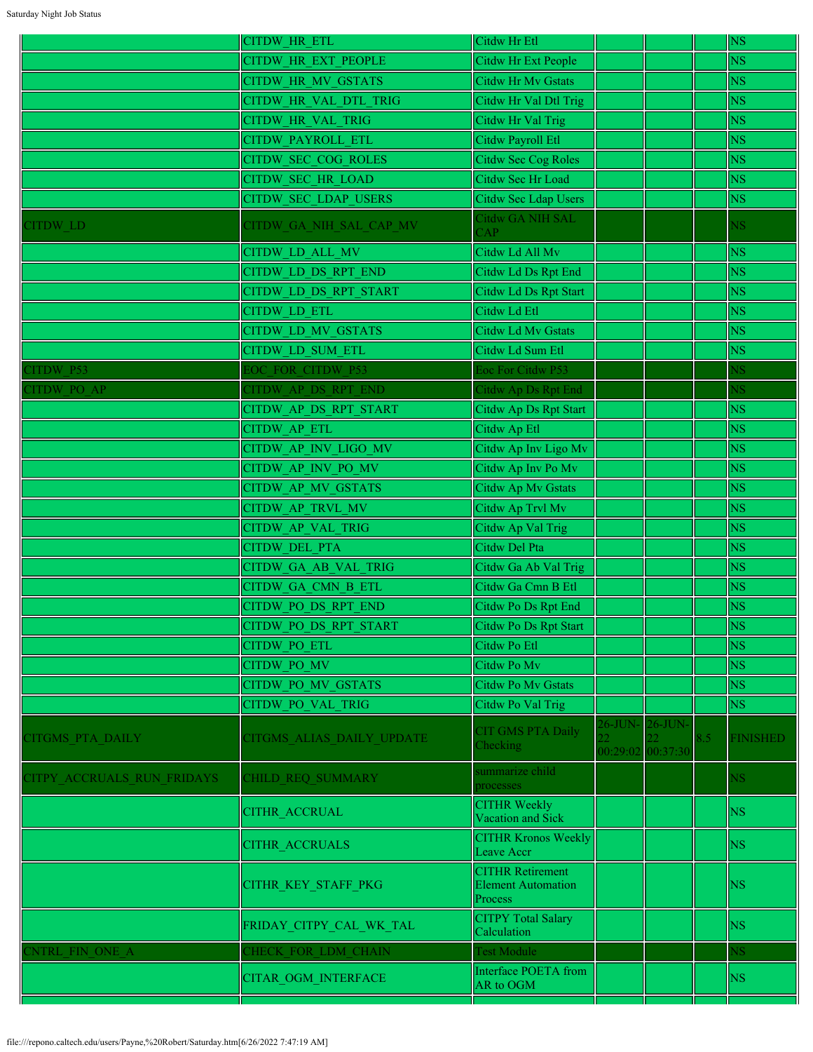|                            | <b>CITDW HR ETL</b>         | Citdw Hr Etl                                                    |                   |     | <b>NS</b>              |
|----------------------------|-----------------------------|-----------------------------------------------------------------|-------------------|-----|------------------------|
|                            | <b>CITDW HR EXT PEOPLE</b>  | Citdw Hr Ext People                                             |                   |     | <b>NS</b>              |
|                            | <b>CITDW HR MV GSTATS</b>   | <b>Citdw Hr Mv Gstats</b>                                       |                   |     | <b>NS</b>              |
|                            | CITDW HR VAL DTL TRIG       | Citdw Hr Val Dtl Trig                                           |                   |     | <b>NS</b>              |
|                            | <b>CITDW HR VAL TRIG</b>    | Citdw Hr Val Trig                                               |                   |     | <b>NS</b>              |
|                            | <b>CITDW PAYROLL ETL</b>    | Citdw Payroll Etl                                               |                   |     | <b>NS</b>              |
|                            | <b>CITDW SEC COG ROLES</b>  | Citdw Sec Cog Roles                                             |                   |     | <b>NS</b>              |
|                            | <b>CITDW SEC HR LOAD</b>    | Citdw Sec Hr Load                                               |                   |     | <b>NS</b>              |
|                            | <b>CITDW SEC LDAP USERS</b> | Citdw Sec Ldap Users                                            |                   |     | N <sub>S</sub>         |
| CITDW LD                   | CITDW GA NIH SAL CAP MV     | <b>Citdw GA NIH SAL</b><br>AP                                   |                   |     | NS.                    |
|                            | <b>CITDW LD ALL MV</b>      | Citdw Ld All Mv                                                 |                   |     | <b>NS</b>              |
|                            | CITDW LD DS RPT END         | Citdw Ld Ds Rpt End                                             |                   |     | <b>NS</b>              |
|                            | CITDW LD DS RPT START       | Citdw Ld Ds Rpt Start                                           |                   |     | <b>NS</b>              |
|                            | <b>CITDW LD ETL</b>         | Citdw Ld Etl                                                    |                   |     | <b>NS</b>              |
|                            | <b>CITDW LD MV GSTATS</b>   | Citdw Ld Mv Gstats                                              |                   |     | <b>NS</b>              |
|                            | CITDW LD SUM ETL            | Citdw Ld Sum Etl                                                |                   |     | <b>NS</b>              |
| <b>CITDW P53</b>           | EOC FOR CITDW P53           | Eoc For Citdw P53                                               |                   |     | $\overline{\text{NS}}$ |
| CITDW PO AP                | CITDW AP DS RPT END         | Citdw Ap Ds Rpt End                                             |                   |     | $_{\rm NS}$            |
|                            | CITDW AP DS RPT START       | Citdw Ap Ds Rpt Start                                           |                   |     | <b>NS</b>              |
|                            | CITDW AP ETL                | Citdw Ap Etl                                                    |                   |     | <b>NS</b>              |
|                            | CITDW AP INV LIGO MV        | Citdw Ap Inv Ligo Mv                                            |                   |     | <b>NS</b>              |
|                            | CITDW AP INV PO MV          | Citdw Ap Inv Po Mv                                              |                   |     | <b>NS</b>              |
|                            | CITDW AP MV GSTATS          | Citdw Ap Mv Gstats                                              |                   |     | <b>NS</b>              |
|                            | CITDW AP TRVL MV            | Citdw Ap Trvl Mv                                                |                   |     | <b>NS</b>              |
|                            | <b>CITDW AP VAL TRIG</b>    | Citdw Ap Val Trig                                               |                   |     | <b>NS</b>              |
|                            | <b>CITDW DEL PTA</b>        | Citdw Del Pta                                                   |                   |     | <b>NS</b>              |
|                            | <b>CITDW GA AB VAL TRIG</b> | Citdw Ga Ab Val Trig                                            |                   |     | NS                     |
|                            | CITDW GA CMN B ETL          | Citdw Ga Cmn B Etl                                              |                   |     | <b>NS</b>              |
|                            | CITDW PO DS RPT END         | Citdw Po Ds Rpt End                                             |                   |     | <b>NS</b>              |
|                            | CITDW PO DS_RPT_START       | Citdw Po Ds Rpt Start                                           |                   |     | $\overline{\text{NS}}$ |
|                            | <b>CITDW PO ETL</b>         | Citdw Po Etl                                                    |                   |     | <b>NS</b>              |
|                            | CITDW PO MV                 | Citdw Po Mv                                                     |                   |     | NS.                    |
|                            | <b>CITDW PO MV GSTATS</b>   | <b>Citdw Po My Gstats</b>                                       |                   |     | NS                     |
|                            | <b>CITDW PO VAL TRIG</b>    | Citdw Po Val Trig                                               |                   |     | N <sub>S</sub>         |
| <b>CITGMS PTA DAILY</b>    | CITGMS ALIAS DAILY UPDATE   | <b>CIT GMS PTA Daily</b>                                        | 26-JUN- 26-JUN-   | 8.5 | <b>FINISHED</b>        |
|                            |                             | <b>Thecking</b>                                                 | 00:29:02 00:37:30 |     |                        |
| CITPY ACCRUALS RUN FRIDAYS | CHILD REQ SUMMARY           | summarize child<br>processes                                    |                   |     | NS.                    |
|                            | <b>CITHR ACCRUAL</b>        | <b>CITHR Weekly</b><br>Vacation and Sick                        |                   |     | <b>NS</b>              |
|                            | <b>CITHR ACCRUALS</b>       | <b>CITHR Kronos Weekly</b><br>Leave Accr                        |                   |     | <b>NS</b>              |
|                            | CITHR_KEY_STAFF_PKG         | <b>CITHR Retirement</b><br><b>Element Automation</b><br>Process |                   |     | NS                     |
|                            | FRIDAY_CITPY_CAL_WK_TAL     | <b>CITPY Total Salary</b><br>Calculation                        |                   |     | <b>NS</b>              |
| <b>ENTRL FIN ONE A</b>     | CHECK FOR LDM CHAIN         | <b>Test Module</b>                                              |                   |     | NS.                    |
|                            | <b>CITAR OGM INTERFACE</b>  | Interface POETA from<br>AR to OGM                               |                   |     | NS.                    |
|                            |                             |                                                                 |                   |     |                        |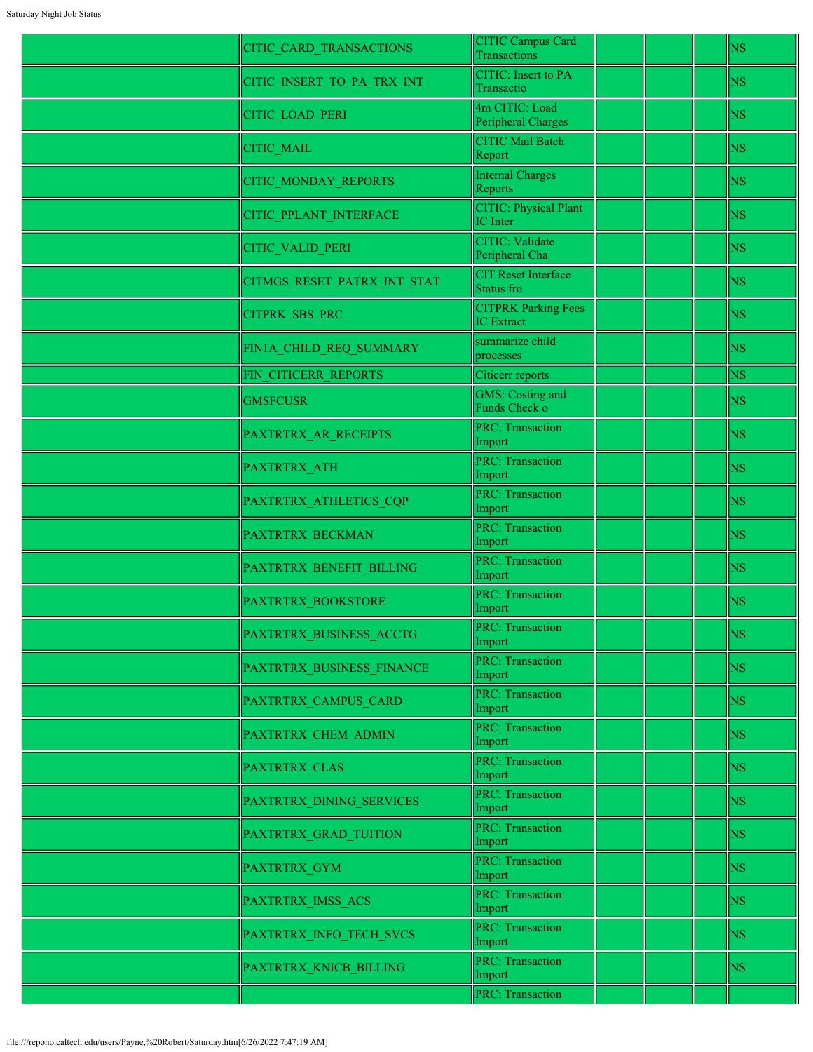| CITIC CARD TRANSACTIONS     | CITIC Campus Card<br>Transactions               | <b>NS</b> |
|-----------------------------|-------------------------------------------------|-----------|
| CITIC_INSERT_TO_PA_TRX_INT  | <b>CITIC:</b> Insert to PA<br>Transactio        | <b>NS</b> |
| CITIC LOAD PERI             | 4m CITIC: Load<br>Peripheral Charges            | <b>NS</b> |
| <b>CITIC MAIL</b>           | <b>CITIC Mail Batch</b><br>Report               | <b>NS</b> |
| CITIC_MONDAY_REPORTS        | <b>Internal Charges</b><br>Reports              | <b>NS</b> |
| CITIC_PPLANT_INTERFACE      | <b>CITIC: Physical Plant</b><br><b>IC</b> Inter | <b>NS</b> |
| CITIC_VALID_PERI            | <b>CITIC: Validate</b><br>Peripheral Cha        | <b>NS</b> |
| CITMGS_RESET_PATRX_INT_STAT | <b>CIT Reset Interface</b><br>Status fro        | <b>NS</b> |
| <b>CITPRK SBS PRC</b>       | <b>CITPRK Parking Fees</b><br><b>IC</b> Extract | <b>NS</b> |
| FIN1A_CHILD_REQ_SUMMARY     | summarize child<br>processes                    | <b>NS</b> |
| FIN CITICERR REPORTS        | Citicerr reports                                | <b>NS</b> |
| <b>GMSFCUSR</b>             | <b>GMS: Costing and</b><br>Funds Check o        | <b>NS</b> |
| PAXTRTRX_AR_RECEIPTS        | <b>PRC: Transaction</b><br>Import               | <b>NS</b> |
| PAXTRTRX_ATH                | <b>PRC: Transaction</b><br>Import               | <b>NS</b> |
| PAXTRTRX_ATHLETICS_CQP      | <b>PRC: Transaction</b><br>Import               | <b>NS</b> |
| PAXTRTRX BECKMAN            | <b>PRC: Transaction</b><br>Import               | <b>NS</b> |
| PAXTRTRX_BENEFIT_BILLING    | <b>PRC: Transaction</b><br>Import               | <b>NS</b> |
| <b>PAXTRTRX BOOKSTORE</b>   | <b>PRC: Transaction</b><br>Import               | <b>NS</b> |
| PAXTRTRX_BUSINESS_ACCTG     | PRC: Transaction<br>Import                      | <b>NS</b> |
| PAXTRTRX_BUSINESS_FINANCE   | <b>PRC: Transaction</b><br>Import               | <b>NS</b> |
| PAXTRTRX CAMPUS CARD        | <b>PRC: Transaction</b><br>Import               | <b>NS</b> |
| PAXTRTRX CHEM ADMIN         | <b>PRC: Transaction</b><br>Import               | <b>NS</b> |
| PAXTRTRX CLAS               | <b>PRC: Transaction</b><br>Import               | <b>NS</b> |
| PAXTRTRX_DINING_SERVICES    | <b>PRC: Transaction</b><br>Import               | <b>NS</b> |
| PAXTRTRX GRAD TUITION       | <b>PRC: Transaction</b><br>Import               | <b>NS</b> |
| <b>PAXTRTRX GYM</b>         | <b>PRC: Transaction</b><br>Import               | <b>NS</b> |
| PAXTRTRX_IMSS_ACS           | <b>PRC: Transaction</b><br>Import               | <b>NS</b> |
| PAXTRTRX_INFO_TECH_SVCS     | <b>PRC: Transaction</b><br>Import               | <b>NS</b> |
| PAXTRTRX_KNICB_BILLING      | <b>PRC: Transaction</b><br>Import               | <b>NS</b> |
|                             | <b>PRC: Transaction</b>                         |           |
|                             |                                                 |           |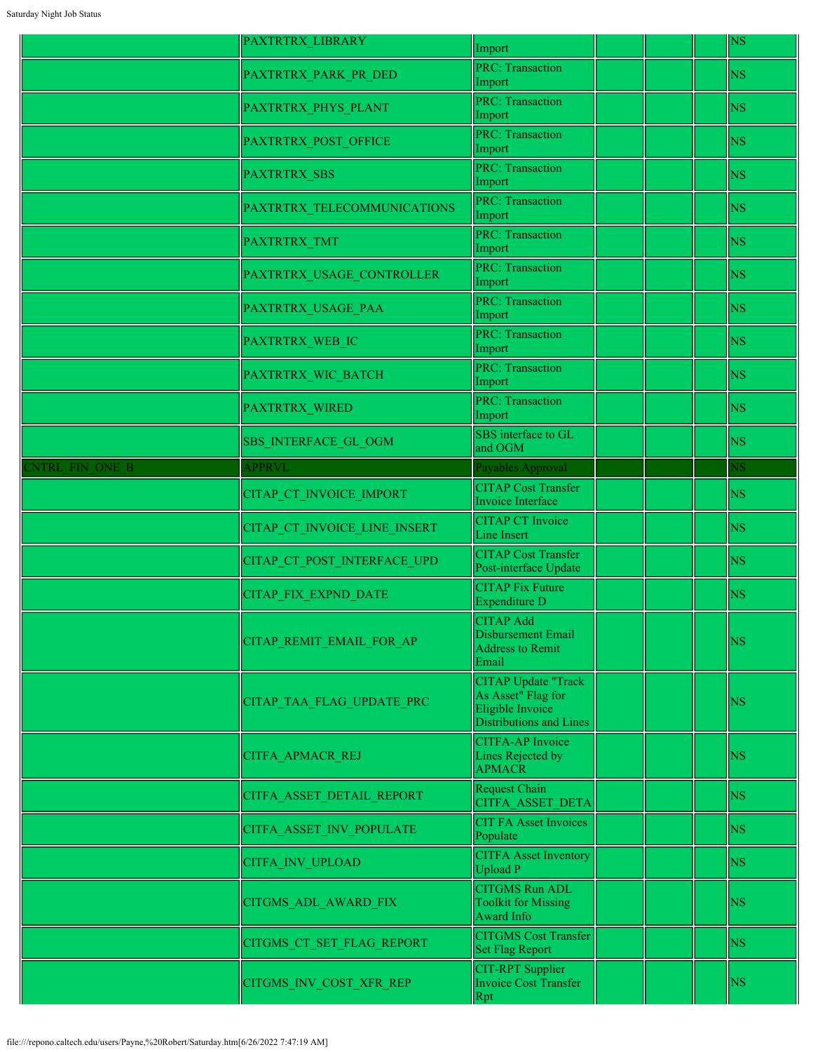|                        | <b>PAXTRTRX LIBRARY</b>      | Import                                                                                          |  | <b>NS</b>              |
|------------------------|------------------------------|-------------------------------------------------------------------------------------------------|--|------------------------|
|                        | PAXTRTRX PARK PR DED         | <b>PRC: Transaction</b><br>Import                                                               |  | <b>NS</b>              |
|                        | PAXTRTRX PHYS PLANT          | <b>PRC: Transaction</b><br>Import                                                               |  | <b>NS</b>              |
|                        | PAXTRTRX_POST_OFFICE         | <b>PRC: Transaction</b><br>Import                                                               |  | <b>NS</b>              |
|                        | <b>PAXTRTRX SBS</b>          | <b>PRC: Transaction</b><br>Import                                                               |  | <b>NS</b>              |
|                        | PAXTRTRX TELECOMMUNICATIONS  | <b>PRC: Transaction</b><br>Import                                                               |  | <b>NS</b>              |
|                        | PAXTRTRX TMT                 | <b>PRC: Transaction</b><br>Import                                                               |  | <b>NS</b>              |
|                        | PAXTRTRX_USAGE_CONTROLLER    | <b>PRC: Transaction</b><br>Import                                                               |  | <b>NS</b>              |
|                        | PAXTRTRX_USAGE_PAA           | <b>PRC: Transaction</b><br>Import                                                               |  | <b>NS</b>              |
|                        | PAXTRTRX WEB IC              | <b>PRC: Transaction</b><br>Import                                                               |  | <b>NS</b>              |
|                        | PAXTRTRX_WIC_BATCH           | <b>PRC: Transaction</b><br>Import                                                               |  | <b>NS</b>              |
|                        | <b>PAXTRTRX WIRED</b>        | <b>PRC: Transaction</b><br>Import                                                               |  | <b>NS</b>              |
|                        | <b>SBS INTERFACE GL OGM</b>  | SBS interface to GL<br>and OGM                                                                  |  | <b>NS</b>              |
| <b>ENTRL FIN ONE B</b> | <b>APPRVL</b>                | Payables Approval                                                                               |  | $\overline{\text{NS}}$ |
|                        | CITAP_CT_INVOICE_IMPORT      | <b>CITAP Cost Transfer</b><br>Invoice Interface                                                 |  | <b>NS</b>              |
|                        | CITAP_CT_INVOICE_LINE_INSERT | <b>CITAP CT Invoice</b><br><b>Line Insert</b>                                                   |  | <b>NS</b>              |
|                        | CITAP CT POST INTERFACE UPD  | <b>CITAP Cost Transfer</b><br>Post-interface Update                                             |  | <b>NS</b>              |
|                        | <b>CITAP FIX EXPND DATE</b>  | <b>CITAP Fix Future</b><br>Expenditure D                                                        |  | <b>NS</b>              |
|                        | CITAP_REMIT_EMAIL_FOR AP     | <b>CITAP Add</b><br>Disbursement Email<br><b>Address to Remit</b><br>Email                      |  | <b>NS</b>              |
|                        | CITAP_TAA_FLAG_UPDATE_PRC    | <b>CITAP Update "Track</b><br>As Asset" Flag for<br>Eligible Invoice<br>Distributions and Lines |  | <b>NS</b>              |
|                        | CITFA_APMACR_REJ             | <b>CITFA-AP</b> Invoice<br>Lines Rejected by<br><b>APMACR</b>                                   |  | <b>NS</b>              |
|                        | CITFA ASSET DETAIL REPORT    | Request Chain<br><b>CITFA ASSET DETA</b>                                                        |  | <b>NS</b>              |
|                        | CITFA ASSET INV POPULATE     | <b>CIT FA Asset Invoices</b><br>Populate                                                        |  | <b>NS</b>              |
|                        | <b>CITFA INV UPLOAD</b>      | <b>CITFA Asset Inventory</b><br><b>Upload P</b>                                                 |  | <b>NS</b>              |
|                        | CITGMS_ADL_AWARD_FIX         | <b>CITGMS Run ADL</b><br><b>Toolkit for Missing</b><br>Award Info                               |  | <b>NS</b>              |
|                        | CITGMS CT SET FLAG REPORT    | <b>CITGMS Cost Transfer</b><br><b>Set Flag Report</b>                                           |  | <b>NS</b>              |
|                        | CITGMS INV COST XFR REP      | <b>CIT-RPT Supplier</b><br><b>Invoice Cost Transfer</b><br>Rpt                                  |  | <b>NS</b>              |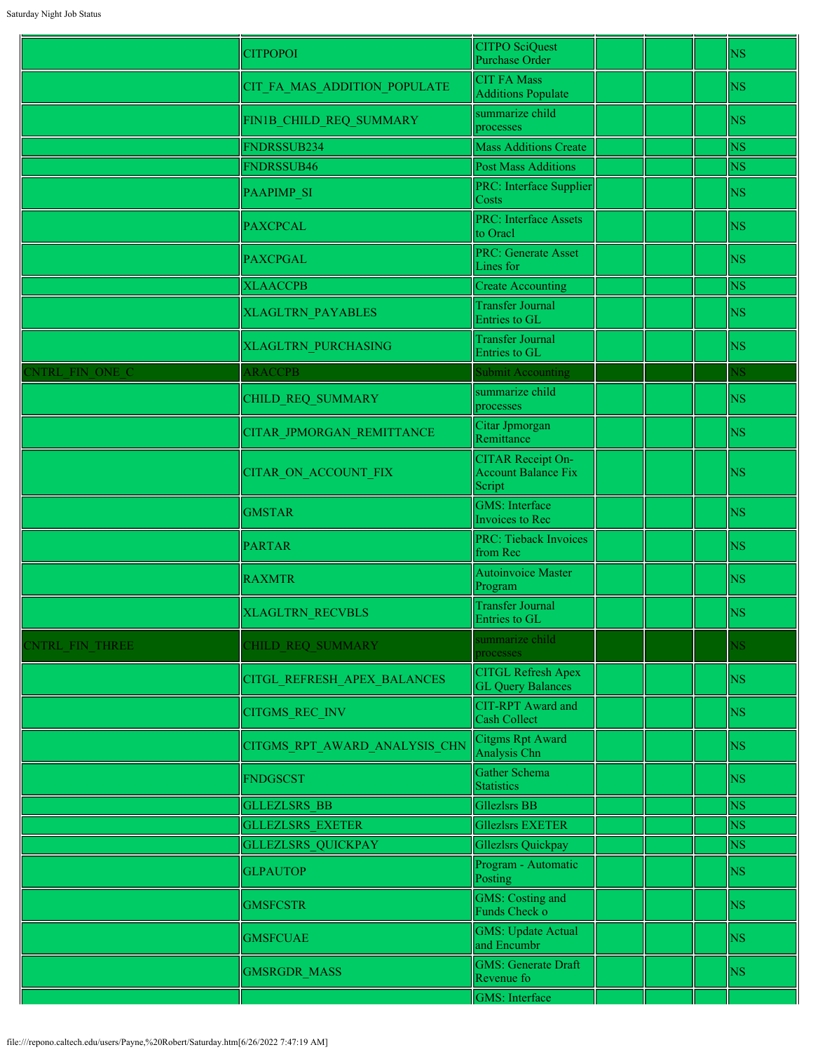|                        | <b>CITPOPOI</b>               | <b>CITPO SciQuest</b><br><b>Purchase Order</b>                   |  | <b>NS</b>              |
|------------------------|-------------------------------|------------------------------------------------------------------|--|------------------------|
|                        | CIT_FA_MAS_ADDITION_POPULATE  | <b>CIT FA Mass</b><br><b>Additions Populate</b>                  |  | <b>NS</b>              |
|                        | FIN1B_CHILD_REQ_SUMMARY       | summarize child<br>processes                                     |  | <b>NS</b>              |
|                        | FNDRSSUB234                   | <b>Mass Additions Create</b>                                     |  | <b>NS</b>              |
|                        | FNDRSSUB46                    | <b>Post Mass Additions</b>                                       |  | <b>NS</b>              |
|                        | PAAPIMP_SI                    | PRC: Interface Supplier<br>Costs                                 |  | <b>NS</b>              |
|                        | <b>PAXCPCAL</b>               | <b>PRC: Interface Assets</b><br>to Oracl                         |  | <b>NS</b>              |
|                        | <b>PAXCPGAL</b>               | PRC: Generate Asset<br>Lines for                                 |  | <b>NS</b>              |
|                        | <b>XLAACCPB</b>               | <b>Create Accounting</b>                                         |  | <b>NS</b>              |
|                        | XLAGLTRN_PAYABLES             | <b>Transfer Journal</b><br>Entries to GL                         |  | <b>NS</b>              |
|                        | <b>XLAGLTRN PURCHASING</b>    | <b>Transfer Journal</b><br>Entries to GL                         |  | <b>NS</b>              |
| <b>ENTRL FIN ONE C</b> | <b>ARACCPB</b>                | <b>Submit Accounting</b>                                         |  | $\overline{\text{MS}}$ |
|                        | CHILD REQ SUMMARY             | summarize child<br>processes                                     |  | <b>NS</b>              |
|                        | CITAR_JPMORGAN_REMITTANCE     | Citar Jpmorgan<br>Remittance                                     |  | <b>NS</b>              |
|                        | <b>CITAR ON ACCOUNT FIX</b>   | <b>CITAR Receipt On-</b><br><b>Account Balance Fix</b><br>Script |  | <b>NS</b>              |
|                        | <b>GMSTAR</b>                 | <b>GMS: Interface</b><br>Invoices to Rec                         |  | <b>NS</b>              |
|                        | <b>PARTAR</b>                 | <b>PRC: Tieback Invoices</b><br>from Rec                         |  | <b>NS</b>              |
|                        | <b>RAXMTR</b>                 | Autoinvoice Master<br>Program                                    |  | <b>NS</b>              |
|                        | <b>XLAGLTRN RECVBLS</b>       | <b>Transfer Journal</b><br>Entries to GL                         |  | <b>NS</b>              |
| CNTRL FIN THREE        | CHILD REQ SUMMARY             | summarize child<br>processes                                     |  | $\sqrt{S}$             |
|                        | CITGL_REFRESH_APEX_BALANCES   | <b>CITGL Refresh Apex</b><br><b>GL Query Balances</b>            |  | <b>NS</b>              |
|                        | <b>CITGMS REC INV</b>         | <b>CIT-RPT</b> Award and<br>Cash Collect                         |  | <b>NS</b>              |
|                        | CITGMS RPT AWARD ANALYSIS CHN | Citgms Rpt Award<br>Analysis Chn                                 |  | <b>NS</b>              |
|                        | <b>FNDGSCST</b>               | Gather Schema<br><b>Statistics</b>                               |  | <b>NS</b>              |
|                        | <b>GLLEZLSRS BB</b>           | <b>Gllezlsrs BB</b>                                              |  | <b>NS</b>              |
|                        | <b>GLLEZLSRS EXETER</b>       | <b>Gllezlsrs EXETER</b>                                          |  | <b>NS</b>              |
|                        | <b>GLLEZLSRS QUICKPAY</b>     | <b>Gllezlsrs Quickpay</b>                                        |  | <b>NS</b>              |
|                        | <b>GLPAUTOP</b>               | Program - Automatic<br>Posting                                   |  | <b>NS</b>              |
|                        | <b>GMSFCSTR</b>               | <b>GMS:</b> Costing and<br>Funds Check o                         |  | <b>NS</b>              |
|                        | <b>GMSFCUAE</b>               | <b>GMS: Update Actual</b><br>and Encumbr                         |  | <b>NS</b>              |
|                        | <b>GMSRGDR MASS</b>           | <b>GMS: Generate Draft</b><br>Revenue fo                         |  | <b>NS</b>              |
|                        |                               | <b>GMS:</b> Interface                                            |  |                        |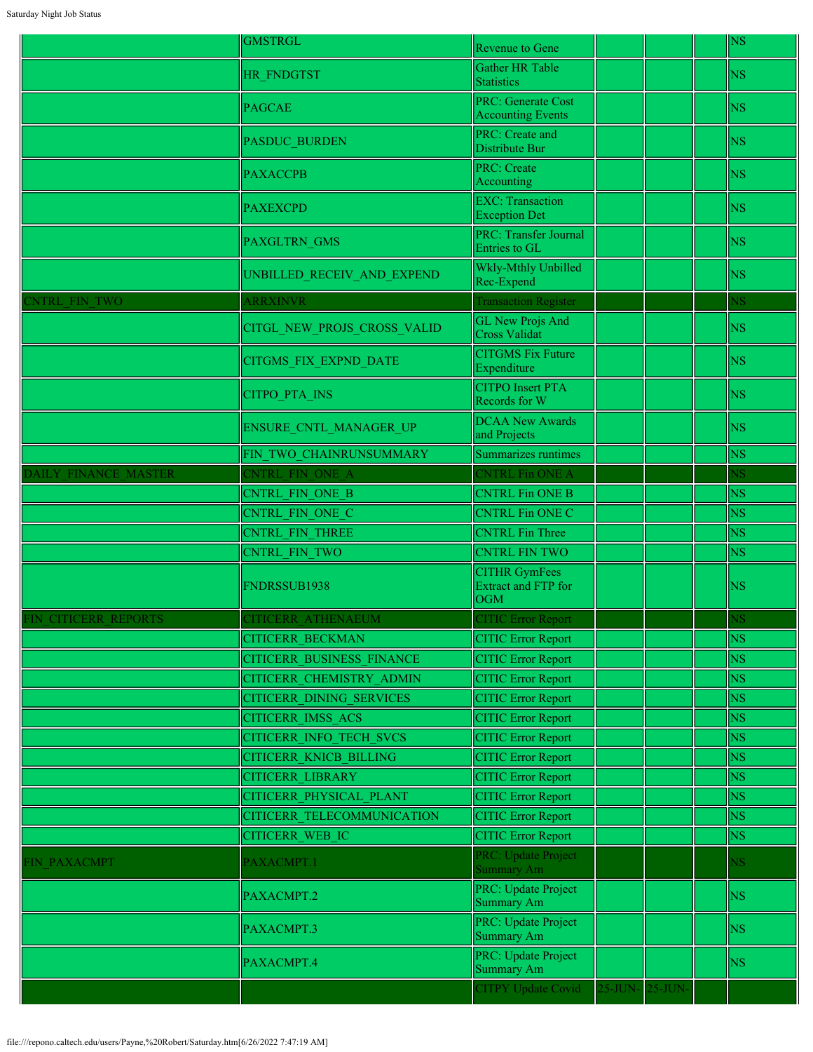|                      | <b>GMSTRGL</b>                   | Revenue to Gene                                                  |                 |  | <b>NS</b>              |
|----------------------|----------------------------------|------------------------------------------------------------------|-----------------|--|------------------------|
|                      | <b>HR FNDGTST</b>                | Gather HR Table<br><b>Statistics</b>                             |                 |  | <b>NS</b>              |
|                      | <b>PAGCAE</b>                    | <b>PRC: Generate Cost</b><br><b>Accounting Events</b>            |                 |  | <b>NS</b>              |
|                      | <b>PASDUC BURDEN</b>             | PRC: Create and<br>Distribute Bur                                |                 |  | <b>NS</b>              |
|                      | <b>PAXACCPB</b>                  | <b>PRC</b> : Create<br>Accounting                                |                 |  | <b>NS</b>              |
|                      | <b>PAXEXCPD</b>                  | <b>EXC:</b> Transaction<br><b>Exception Det</b>                  |                 |  | <b>NS</b>              |
|                      | PAXGLTRN_GMS                     | <b>PRC: Transfer Journal</b><br>Entries to GL                    |                 |  | <b>NS</b>              |
|                      | UNBILLED_RECEIV_AND_EXPEND       | Wkly-Mthly Unbilled<br>Rec-Expend                                |                 |  | <b>NS</b>              |
| <b>ENTRL FIN TWO</b> | <b>ARRXINVR</b>                  | <b>Transaction Register</b>                                      |                 |  | $\overline{\text{NS}}$ |
|                      | CITGL_NEW_PROJS_CROSS_VALID      | <b>GL New Projs And</b><br><b>Cross Validat</b>                  |                 |  | <b>NS</b>              |
|                      | CITGMS_FIX_EXPND_DATE            | <b>CITGMS Fix Future</b><br>Expenditure                          |                 |  | <b>NS</b>              |
|                      | CITPO_PTA_INS                    | <b>CITPO</b> Insert PTA<br>Records for W                         |                 |  | <b>NS</b>              |
|                      | <b>ENSURE CNTL MANAGER UP</b>    | <b>DCAA New Awards</b><br>and Projects                           |                 |  | <b>NS</b>              |
|                      | FIN TWO CHAINRUNSUMMARY          | Summarizes runtimes                                              |                 |  | <b>NS</b>              |
| DAILY FINANCE MASTER | CNTRL FIN ONE A                  | CNTRL Fin ONE A                                                  |                 |  | <b>NS</b>              |
|                      | CNTRL FIN ONE B                  | <b>CNTRL Fin ONE B</b>                                           |                 |  | <b>NS</b>              |
|                      | <b>CNTRL FIN ONE C</b>           | <b>CNTRL Fin ONE C</b>                                           |                 |  | <b>NS</b>              |
|                      | <b>CNTRL FIN THREE</b>           | <b>CNTRL Fin Three</b>                                           |                 |  | <b>NS</b>              |
|                      | CNTRL FIN TWO                    | <b>CNTRL FIN TWO</b>                                             |                 |  | <b>NS</b>              |
|                      | FNDRSSUB1938                     | <b>CITHR GymFees</b><br><b>Extract and FTP for</b><br><b>OGM</b> |                 |  | <b>NS</b>              |
| FIN CITICERR REPORTS | CITICERR ATHENAEUM               | <b>CITIC Error Report</b>                                        |                 |  | ٧S                     |
|                      | <b>CITICERR BECKMAN</b>          | <b>CITIC Error Report</b>                                        |                 |  | <b>NS</b>              |
|                      | <b>CITICERR BUSINESS FINANCE</b> | <b>CITIC Error Report</b>                                        |                 |  | <b>NS</b>              |
|                      | CITICERR CHEMISTRY ADMIN         | <b>CITIC Error Report</b>                                        |                 |  | <b>NS</b>              |
|                      | <b>CITICERR DINING SERVICES</b>  | <b>CITIC Error Report</b>                                        |                 |  | <b>NS</b>              |
|                      | <b>CITICERR IMSS ACS</b>         | <b>CITIC Error Report</b>                                        |                 |  | <b>NS</b>              |
|                      | <b>CITICERR INFO TECH SVCS</b>   | <b>CITIC Error Report</b>                                        |                 |  | <b>NS</b>              |
|                      | <b>CITICERR KNICB BILLING</b>    | <b>CITIC Error Report</b>                                        |                 |  | $_{\rm NS}$            |
|                      | <b>CITICERR LIBRARY</b>          | <b>CITIC Error Report</b>                                        |                 |  | <b>NS</b>              |
|                      | CITICERR PHYSICAL PLANT          | <b>CITIC Error Report</b>                                        |                 |  | $_{\rm NS}$            |
|                      | CITICERR TELECOMMUNICATION       | <b>CITIC Error Report</b>                                        |                 |  | <b>NS</b>              |
|                      | <b>CITICERR WEB IC</b>           | <b>CITIC Error Report</b>                                        |                 |  | <b>NS</b>              |
| FIN PAXACMPT         | PAXACMPT.1                       | PRC: Update Project<br>Summary Am                                |                 |  | $\overline{\text{MS}}$ |
|                      | PAXACMPT.2                       | PRC: Update Project<br>Summary Am                                |                 |  | <b>NS</b>              |
|                      | PAXACMPT.3                       | PRC: Update Project<br>Summary Am                                |                 |  | <b>NS</b>              |
|                      | PAXACMPT.4                       | PRC: Update Project<br>Summary Am                                |                 |  | NS                     |
|                      |                                  | <b>CITPY Update Covid</b>                                        | 25-JUN- 25-JUN- |  |                        |